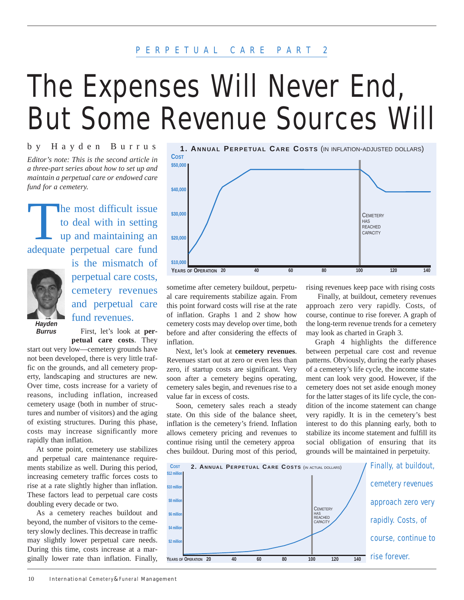# PERPETUAL CARE PART 2

# The Expenses Will Never End, But Some Revenue Sources Will

*Editor's note: This is the second article in a three-part series about how to set up and maintain a perpetual care or endowed care fund for a cemetery.* by Hayden Burrus

The most difficult issue<br>to deal with in setting<br>up and maintaining an to deal with in setting up and maintaining an adequate perpetual care fund



is the mismatch of perpetual care costs, cemetery revenues and perpetual care fund revenues.

**Hayden Burrus**

First, let's look at **perpetual care costs**. They

start out very low—cemetery grounds have not been developed, there is very little traffic on the grounds, and all cemetery property, landscaping and structures are new. Over time, costs increase for a variety of reasons, including inflation, increased cemetery usage (both in number of structures and number of visitors) and the aging of existing structures. During this phase, costs may increase significantly more rapidly than inflation.

At some point, cemetery use stabilizes and perpetual care maintenance requirements stabilize as well. During this period, increasing cemetery traffic forces costs to rise at a rate slightly higher than inflation. These factors lead to perpetual care costs doubling every decade or two.

As a cemetery reaches buildout and beyond, the number of visitors to the cemetery slowly declines. This decrease in traffic may slightly lower perpetual care needs. During this time, costs increase at a marginally lower rate than inflation. Finally,



sometime after cemetery buildout, perpetual care requirements stabilize again. From this point forward costs will rise at the rate of inflation. Graphs 1 and 2 show how cemetery costs may develop over time, both before and after considering the effects of inflation.

Next, let's look at **cemetery revenues**. Revenues start out at zero or even less than zero, if startup costs are significant. Very soon after a cemetery begins operating, cemetery sales begin, and revenues rise to a value far in excess of costs.

Soon, cemetery sales reach a steady state. On this side of the balance sheet, inflation is the cemetery's friend. Inflation allows cemetery pricing and revenues to continue rising until the cemetery approa ches buildout. During most of this period,

rising revenues keep pace with rising costs

Finally, at buildout, cemetery revenues approach zero very rapidly. Costs, of course, continue to rise forever. A graph of the long-term revenue trends for a cemetery may look as charted in Graph 3.

Graph 4 highlights the difference between perpetual care cost and revenue patterns. Obviously, during the early phases of a cemetery's life cycle, the income statement can look very good. However, if the cemetery does not set aside enough money for the latter stages of its life cycle, the condition of the income statement can change very rapidly. It is in the cemetery's best interest to do this planning early, both to stabilize its income statement and fulfill its social obligation of ensuring that its grounds will be maintained in perpetuity.

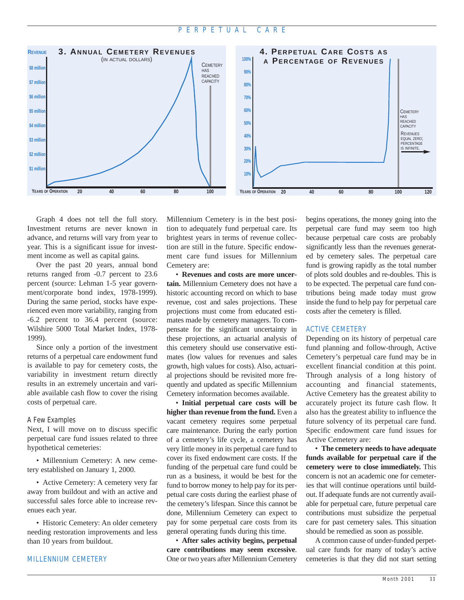

Graph 4 does not tell the full story. Investment returns are never known in advance, and returns will vary from year to year. This is a significant issue for investment income as well as capital gains.

Over the past 20 years, annual bond returns ranged from -0.7 percent to 23.6 percent (source: Lehman 1-5 year government/corporate bond index, 1978-1999). During the same period, stocks have experienced even more variability, ranging from -6.2 percent to 36.4 percent (source: Wilshire 5000 Total Market Index, 1978- 1999).

Since only a portion of the investment returns of a perpetual care endowment fund is available to pay for cemetery costs, the variability in investment return directly results in an extremely uncertain and variable available cash flow to cover the rising costs of perpetual care.

#### A Few Examples

Next, I will move on to discuss specific perpetual care fund issues related to three hypothetical cemeteries:

• Millennium Cemetery: A new cemetery established on January 1, 2000.

• Active Cemetery: A cemetery very far away from buildout and with an active and successful sales force able to increase revenues each year.

• Historic Cemetery: An older cemetery needing restoration improvements and less than 10 years from buildout.

Millennium Cemetery is in the best position to adequately fund perpetual care. Its brightest years in terms of revenue collection are still in the future. Specific endowment care fund issues for Millennium Cemetery are:

• **Revenues and costs are more uncertain.** Millennium Cemetery does not have a historic accounting record on which to base revenue, cost and sales projections. These projections must come from educated estimates made by cemetery managers. To compensate for the significant uncertainty in these projections, an actuarial analysis of this cemetery should use conservative estimates (low values for revenues and sales growth, high values for costs). Also, actuarial projections should be revisited more frequently and updated as specific Millennium Cemetery information becomes available.

• **Initial perpetual care costs will be higher than revenue from the fund.** Even a vacant cemetery requires some perpetual care maintenance. During the early portion of a cemetery's life cycle, a cemetery has very little money in its perpetual care fund to cover its fixed endowment care costs. If the funding of the perpetual care fund could be run as a business, it would be best for the fund to borrow money to help pay for its perpetual care costs during the earliest phase of the cemetery's lifespan. Since this cannot be done, Millennium Cemetery can expect to pay for some perpetual care costs from its general operating funds during this time.

• **After sales activity begins, perpetual care contributions may seem excessive**. One or two years after Millennium Cemetery

begins operations, the money going into the perpetual care fund may seem too high because perpetual care costs are probably significantly less than the revenues generated by cemetery sales. The perpetual care fund is growing rapidly as the total number of plots sold doubles and re-doubles. This is to be expected. The perpetual care fund contributions being made today must grow inside the fund to help pay for perpetual care costs after the cemetery is filled.

### ACTIVE CEMETERY

Depending on its history of perpetual care fund planning and follow-through, Active Cemetery's perpetual care fund may be in excellent financial condition at this point. Through analysis of a long history of accounting and financial statements, Active Cemetery has the greatest ability to accurately project its future cash flow. It also has the greatest ability to influence the future solvency of its perpetual care fund. Specific endowment care fund issues for Active Cemetery are:

• **The cemetery needs to have adequate funds available for perpetual care if the cemetery were to close immediately.** This concern is not an academic one for cemeteries that will continue operations until buildout. If adequate funds are not currently available for perpetual care, future perpetual care contributions must subsidize the perpetual care for past cemetery sales. This situation should be remedied as soon as possible.

A common cause of under-funded perpetual care funds for many of today's active cemeteries is that they did not start setting